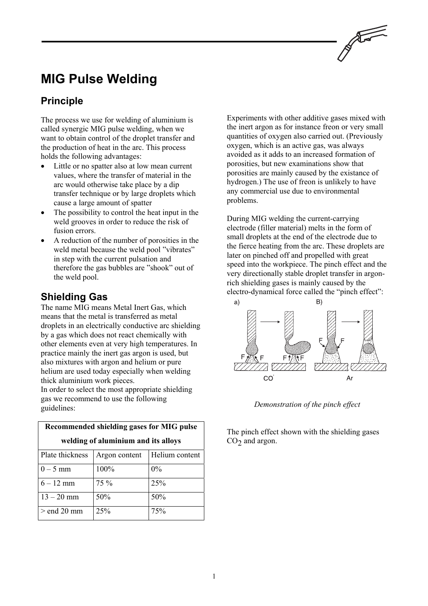

# **MIG Pulse Welding**

## **Principle**

The process we use for welding of aluminium is called synergic MIG pulse welding, when we want to obtain control of the droplet transfer and the production of heat in the arc. This process holds the following advantages:

- Little or no spatter also at low mean current values, where the transfer of material in the arc would otherwise take place by a dip transfer technique or by large droplets which cause a large amount of spatter
- The possibility to control the heat input in the weld grooves in order to reduce the risk of fusion errors.
- A reduction of the number of porosities in the weld metal because the weld pool "vibrates" in step with the current pulsation and therefore the gas bubbles are "shook" out of the weld pool.

### **Shielding Gas**

The name MIG means Metal Inert Gas, which means that the metal is transferred as metal droplets in an electrically conductive arc shielding by a gas which does not react chemically with other elements even at very high temperatures. In practice mainly the inert gas argon is used, but also mixtures with argon and helium or pure helium are used today especially when welding thick aluminium work pieces.

In order to select the most appropriate shielding gas we recommend to use the following guidelines:

| Recommended shielding gases for MIG pulse |               |                |  |
|-------------------------------------------|---------------|----------------|--|
| welding of aluminium and its alloys       |               |                |  |
| Plate thickness                           | Argon content | Helium content |  |
| $0 - 5$ mm                                | 100%          | $0\%$          |  |
| $6 - 12$ mm                               | 75 %          | 25%            |  |
| $13 - 20$ mm                              | 50%           | 50%            |  |
| $>$ end 20 mm                             | 25%           | 75%            |  |

Experiments with other additive gases mixed with the inert argon as for instance freon or very small quantities of oxygen also carried out. (Previously oxygen, which is an active gas, was always avoided as it adds to an increased formation of porosities, but new examinations show that porosities are mainly caused by the existance of hydrogen.) The use of freon is unlikely to have any commercial use due to environmental problems.

During MIG welding the current-carrying electrode (filler material) melts in the form of small droplets at the end of the electrode due to the fierce heating from the arc. These droplets are later on pinched off and propelled with great speed into the workpiece. The pinch effect and the very directionally stable droplet transfer in argonrich shielding gases is mainly caused by the electro-dynamical force called the "pinch effect":



*Demonstration of the pinch effect*

The pinch effect shown with the shielding gases  $CO<sub>2</sub>$  and argon.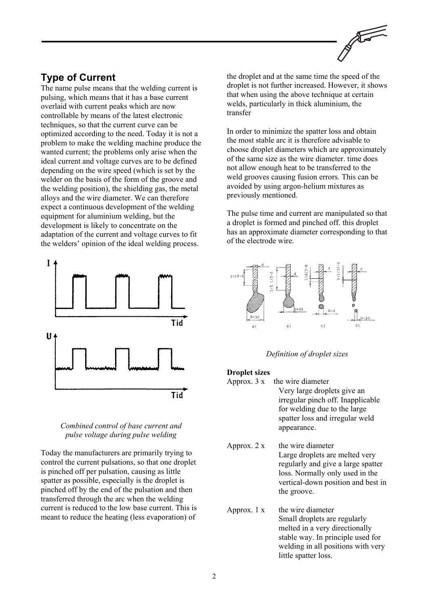### **Type of Current**

The name pulse means that the welding current is pulsing, which means that it has a base current overlaid with current peaks which are now controllable by means of the latest electronic techniques, so that the current curve can be optimized according to the need. Today it is not a problem to make the welding machine produce the wanted current; the problems only arise when the ideal current and voltage curves are to be defined depending on the wire speed (which is set by the welder on the basis of the form of the groove and the welding position), the shielding gas, the metal alloys and the wire diameter. We can therefore expect a continuous development of the welding equipment for aluminium welding, but the development is likely to concentrate on the adaptation of the current and voltage curves to fit the welders' opinion of the ideal welding process.





Today the manufacturers are primarily trying to control the current pulsations, so that one droplet is pinched off per pulsation, causing as little spatter as possible, especially is the droplet is pinched off by the end of the pulsation and then transferred through the arc when the welding current is reduced to the low base current. This is meant to reduce the heating (less evaporation) of

the droplet and at the same time the speed of the droplet is not further increased. However, it shows that when using the above technique at certain welds, particularly in thick aluminium, the transfer

In order to minimize the spatter loss and obtain the most stable arc it is therefore advisable to choose droplet diameters which are approximately of the same size as the wire diameter. time does not allow enough heat to be transferred to the weld grooves causing fusion errors. This can be avoided by using argon-helium mixtures as previously mentioned.

The pulse time and current are manipulated so that a droplet is formed and pinched off. this droplet has an approximate diameter corresponding to that of the electrode wire.



#### *Definition of droplet sizes*

#### **Droplet sizes**

- Approx.  $3x$  the wire diameter Very large droplets give an irregular pinch off. Inapplicable for welding due to the large spatter loss and irregular weld appearance.
- Approx.  $2 x$  the wire diameter Large droplets are melted very regularly and give a large spatter loss. Normally only used in the vertical-down position and best in the groove.
- Approx.  $1 \times$  the wire diameter Small droplets are regularly melted in a very directionally stable way. In principle used for welding in all positions with very little spatter loss.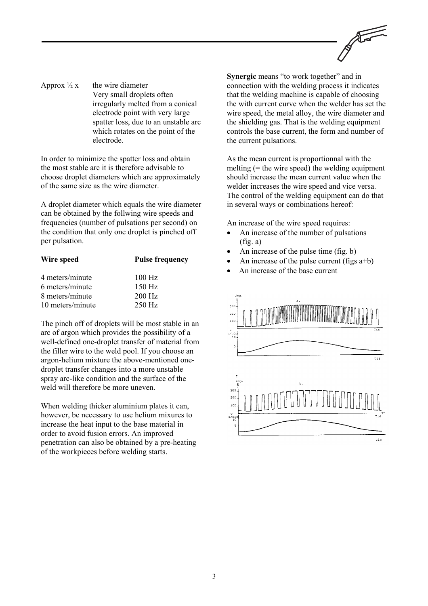

Approx  $\frac{1}{2}x$  the wire diameter Very small droplets often irregularly melted from a conical electrode point with very large spatter loss, due to an unstable arc which rotates on the point of the electrode.

In order to minimize the spatter loss and obtain the most stable arc it is therefore advisable to choose droplet diameters which are approximately of the same size as the wire diameter.

A droplet diameter which equals the wire diameter can be obtained by the follwing wire speeds and frequencies (number of pulsations per second) on the condition that only one droplet is pinched off per pulsation.

| Wire speed       | <b>Pulse frequency</b> |
|------------------|------------------------|
| 4 meters/minute  | $100$ Hz               |
| 6 meters/minute  | $150$ Hz               |
| 8 meters/minute  | 200 Hz                 |
| 10 meters/minute | $250$ Hz               |

The pinch off of droplets will be most stable in an arc of argon which provides the possibility of a well-defined one-droplet transfer of material from the filler wire to the weld pool. If you choose an argon-helium mixture the above-mentioned onedroplet transfer changes into a more unstable spray arc-like condition and the surface of the weld will therefore be more uneven.

When welding thicker aluminium plates it can, however, be necessary to use helium mixures to increase the heat input to the base material in order to avoid fusion errors. An improved penetration can also be obtained by a pre-heating of the workpieces before welding starts.

**Synergic** means "to work together" and in connection with the welding process it indicates that the welding machine is capable of choosing the with current curve when the welder has set the wire speed, the metal alloy, the wire diameter and the shielding gas. That is the welding equipment controls the base current, the form and number of the current pulsations.

As the mean current is proportionnal with the melting  $(=$  the wire speed) the welding equipment should increase the mean current value when the welder increases the wire speed and vice versa. The control of the welding equipment can do that in several ways or combinations hereof:

An increase of the wire speed requires:

- An increase of the number of pulsations  $(fig. a)$
- An increase of the pulse time (fig. b)
- An increase of the pulse current (figs  $a+b$ )
- An increase of the base current

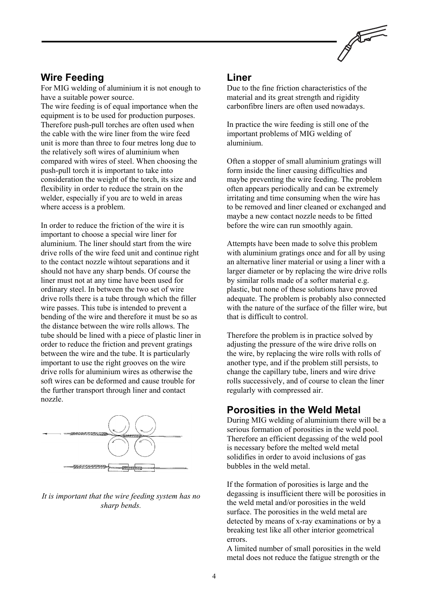

### **Wire Feeding**

For MIG welding of aluminium it is not enough to have a suitable power source.

The wire feeding is of equal importance when the equipment is to be used for production purposes. Therefore push-pull torches are often used when the cable with the wire liner from the wire feed unit is more than three to four metres long due to the relatively soft wires of aluminium when compared with wires of steel. When choosing the push-pull torch it is important to take into consideration the weight of the torch, its size and flexibility in order to reduce the strain on the welder, especially if you are to weld in areas where access is a problem.

In order to reduce the friction of the wire it is important to choose a special wire liner for aluminium. The liner should start from the wire drive rolls of the wire feed unit and continue right to the contact nozzle wihtout separations and it should not have any sharp bends. Of course the liner must not at any time have been used for ordinary steel. In between the two set of wire drive rolls there is a tube through which the filler wire passes. This tube is intended to prevent a bending of the wire and therefore it must be so as the distance between the wire rolls allows. The tube should be lined with a piece of plastic liner in order to reduce the friction and prevent gratings between the wire and the tube. It is particularly important to use the right grooves on the wire drive rolls for aluminium wires as otherwise the soft wires can be deformed and cause trouble for the further transport through liner and contact nozzle.



#### *It is important that the wire feeding system has no sharp bends.*

#### **Liner**

Due to the fine friction characteristics of the material and its great strength and rigidity carbonfibre liners are often used nowadays.

In practice the wire feeding is still one of the important problems of MIG welding of aluminium.

Often a stopper of small aluminium gratings will form inside the liner causing difficulties and maybe preventing the wire feeding. The problem often appears periodically and can be extremely irritating and time consuming when the wire has to be removed and liner cleaned or exchanged and maybe a new contact nozzle needs to be fitted before the wire can run smoothly again.

Attempts have been made to solve this problem with aluminium gratings once and for all by using an alternative liner material or using a liner with a larger diameter or by replacing the wire drive rolls by similar rolls made of a softer material e.g. plastic, but none of these solutions have proved adequate. The problem is probably also connected with the nature of the surface of the filler wire, but that is difficult to control.

Therefore the problem is in practice solved by adjusting the pressure of the wire drive rolls on the wire, by replacing the wire rolls with rolls of another type, and if the problem still persists, to change the capillary tube, liners and wire drive rolls successively, and of course to clean the liner regularly with compressed air.

### **Porosities in the Weld Metal**

During MIG welding of aluminium there will be a serious formation of porosities in the weld pool. Therefore an efficient degassing of the weld pool is necessary before the melted weld metal solidifies in order to avoid inclusions of gas bubbles in the weld metal.

If the formation of porosities is large and the degassing is insufficient there will be porosities in the weld metal and/or porosities in the weld surface. The porosities in the weld metal are detected by means of x-ray examinations or by a breaking test like all other interior geometrical errors.

A limited number of small porosities in the weld metal does not reduce the fatigue strength or the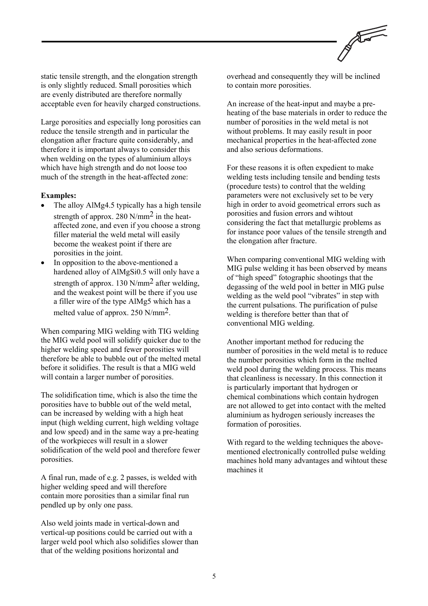

static tensile strength, and the elongation strength is only slightly reduced. Small porosities which are evenly distributed are therefore normally acceptable even for heavily charged constructions.

Large porosities and especially long porosities can reduce the tensile strength and in particular the elongation after fracture quite considerably, and therefore it is important always to consider this when welding on the types of aluminium alloys which have high strength and do not loose too much of the strength in the heat-affected zone:

#### **Examples:**

- The alloy AlMg4.5 typically has a high tensile strength of approx. 280 N/mm2 in the heataffected zone, and even if you choose a strong filler material the weld metal will easily become the weakest point if there are porosities in the joint.
- In opposition to the above-mentioned a hardened alloy of AlMgSi0.5 will only have a strength of approx. 130 N/mm2 after welding, and the weakest point will be there if you use a filler wire of the type AlMg5 which has a melted value of approx. 250 N/mm2.

When comparing MIG welding with TIG welding the MIG weld pool will solidify quicker due to the higher welding speed and fewer porosities will therefore be able to bubble out of the melted metal before it solidifies. The result is that a MIG weld will contain a larger number of porosities.

The solidification time, which is also the time the porosities have to bubble out of the weld metal, can be increased by welding with a high heat input (high welding current, high welding voltage and low speed) and in the same way a pre-heating of the workpieces will result in a slower solidification of the weld pool and therefore fewer porosities.

A final run, made of e.g. 2 passes, is welded with higher welding speed and will therefore contain more porosities than a similar final run pendled up by only one pass.

Also weld joints made in vertical-down and vertical-up positions could be carried out with a larger weld pool which also solidifies slower than that of the welding positions horizontal and

overhead and consequently they will be inclined to contain more porosities.

An increase of the heat-input and maybe a preheating of the base materials in order to reduce the number of porosities in the weld metal is not without problems. It may easily result in poor mechanical properties in the heat-affected zone and also serious deformations.

For these reasons it is often expedient to make welding tests including tensile and bending tests (procedure tests) to control that the welding parameters were not exclusively set to be very high in order to avoid geometrical errors such as porosities and fusion errors and wihtout considering the fact that metallurgic problems as for instance poor values of the tensile strength and the elongation after fracture.

When comparing conventional MIG welding with MIG pulse welding it has been observed by means of "high speed" fotographic shootings that the degassing of the weld pool in better in MIG pulse welding as the weld pool "vibrates" in step with the current pulsations. The purification of pulse welding is therefore better than that of conventional MIG welding.

Another important method for reducing the number of porosities in the weld metal is to reduce the number porosities which form in the melted weld pool during the welding process. This means that cleanliness is necessary. In this connection it is particularly important that hydrogen or chemical combinations which contain hydrogen are not allowed to get into contact with the melted aluminium as hydrogen seriously increases the formation of porosities.

With regard to the welding techniques the abovementioned electronically controlled pulse welding machines hold many advantages and wihtout these machines it